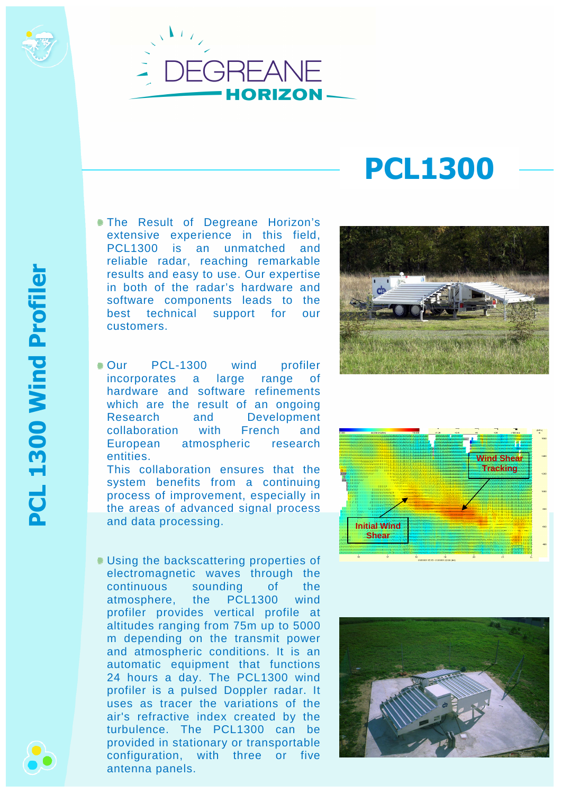

## **PCL1300**

- The Result of Degreane Horizon's extensive experience in this field, PCL1300 is an unmatched and reliable radar, reaching remarkable results and easy to use. Our expertise in both of the radar's hardware and software components leads to the best technical support for our customers.
- Our PCL-1300 wind profiler incorporates a large range of hardware and software refinements which are the result of an ongoing Research and Development collaboration with French and European atmospheric research entities.

This collaboration ensures that the system benefits from a continuing process of improvement, especially in the areas of advanced signal process and data processing.

Using the backscattering properties of electromagnetic waves through the continuous sounding of the atmosphere, the PCL1300 wind profiler provides vertical profile at altitudes ranging from 75m up to 5000 m depending on the transmit power and atmospheric conditions. It is an automatic equipment that functions 24 hours a day. The PCL1300 wind profiler is a pulsed Doppler radar. It uses as tracer the variations of the air's refractive index created by the turbulence. The PCL1300 can be provided in stationary or transportable configuration, with three or five antenna panels.